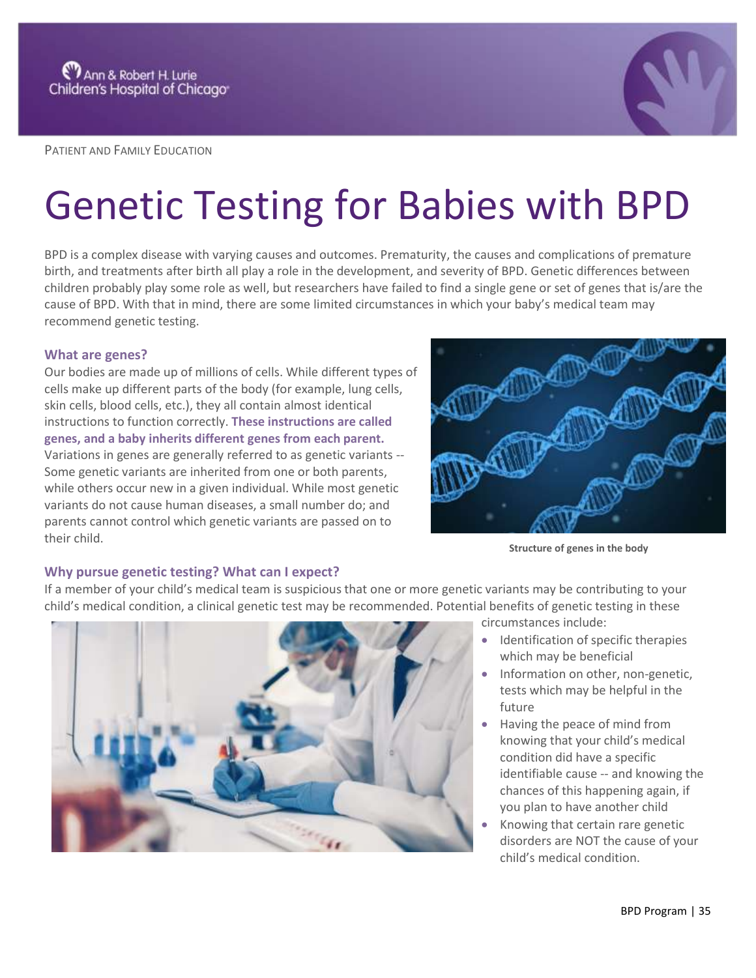

PATIENT AND FAMILY EDUCATION

# Genetic Testing for Babies with BPD

BPD is a complex disease with varying causes and outcomes. Prematurity, the causes and complications of premature birth, and treatments after birth all play a role in the development, and severity of BPD. Genetic differences between children probably play some role as well, but researchers have failed to find a single gene or set of genes that is/are the cause of BPD. With that in mind, there are some limited circumstances in which your baby's medical team may recommend genetic testing.

## **What are genes?**

Our bodies are made up of millions of cells. While different types of cells make up different parts of the body (for example, lung cells, skin cells, blood cells, etc.), they all contain almost identical instructions to function correctly. **These instructions are called genes, and a baby inherits different genes from each parent.** Variations in genes are generally referred to as genetic variants -- Some genetic variants are inherited from one or both parents, while others occur new in a given individual. While most genetic variants do not cause human diseases, a small number do; and parents cannot control which genetic variants are passed on to their child.



**Structure of genes in the body**

# **Why pursue genetic testing? What can I expect?**

If a member of your child's medical team is suspicious that one or more genetic variants may be contributing to your child's medical condition, a clinical genetic test may be recommended. Potential benefits of genetic testing in these



circumstances include:

- Identification of specific therapies which may be beneficial
- Information on other, non-genetic, tests which may be helpful in the future
- Having the peace of mind from knowing that your child's medical condition did have a specific identifiable cause -- and knowing the chances of this happening again, if you plan to have another child
- Knowing that certain rare genetic disorders are NOT the cause of your child's medical condition.